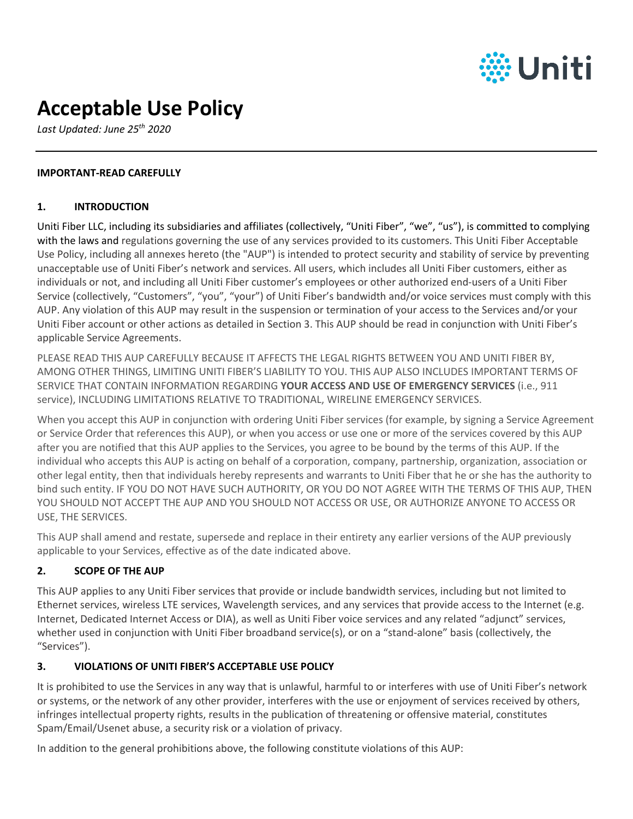

# **Acceptable Use Policy**

*Last Updated: June 25th 2020*

## **IMPORTANT-READ CAREFULLY**

#### **1. INTRODUCTION**

Uniti Fiber LLC, including its subsidiaries and affiliates (collectively, "Uniti Fiber", "we", "us"), is committed to complying with the laws and regulations governing the use of any services provided to its customers. This Uniti Fiber Acceptable Use Policy, including all annexes hereto (the "AUP") is intended to protect security and stability of service by preventing unacceptable use of Uniti Fiber's network and services. All users, which includes all Uniti Fiber customers, either as individuals or not, and including all Uniti Fiber customer's employees or other authorized end-users of a Uniti Fiber Service (collectively, "Customers", "you", "your") of Uniti Fiber's bandwidth and/or voice services must comply with this AUP. Any violation of this AUP may result in the suspension or termination of your access to the Services and/or your Uniti Fiber account or other actions as detailed in Section 3. This AUP should be read in conjunction with Uniti Fiber's applicable Service Agreements.

PLEASE READ THIS AUP CAREFULLY BECAUSE IT AFFECTS THE LEGAL RIGHTS BETWEEN YOU AND UNITI FIBER BY, AMONG OTHER THINGS, LIMITING UNITI FIBER'S LIABILITY TO YOU. THIS AUP ALSO INCLUDES IMPORTANT TERMS OF SERVICE THAT CONTAIN INFORMATION REGARDING **YOUR ACCESS AND USE OF EMERGENCY SERVICES** (i.e., 911 service), INCLUDING LIMITATIONS RELATIVE TO TRADITIONAL, WIRELINE EMERGENCY SERVICES.

When you accept this AUP in conjunction with ordering Uniti Fiber services (for example, by signing a Service Agreement or Service Order that references this AUP), or when you access or use one or more of the services covered by this AUP after you are notified that this AUP applies to the Services, you agree to be bound by the terms of this AUP. If the individual who accepts this AUP is acting on behalf of a corporation, company, partnership, organization, association or other legal entity, then that individuals hereby represents and warrants to Uniti Fiber that he or she has the authority to bind such entity. IF YOU DO NOT HAVE SUCH AUTHORITY, OR YOU DO NOT AGREE WITH THE TERMS OF THIS AUP, THEN YOU SHOULD NOT ACCEPT THE AUP AND YOU SHOULD NOT ACCESS OR USE, OR AUTHORIZE ANYONE TO ACCESS OR USE, THE SERVICES.

This AUP shall amend and restate, supersede and replace in their entirety any earlier versions of the AUP previously applicable to your Services, effective as of the date indicated above.

# **2. SCOPE OF THE AUP**

This AUP applies to any Uniti Fiber services that provide or include bandwidth services, including but not limited to Ethernet services, wireless LTE services, Wavelength services, and any services that provide access to the Internet (e.g. Internet, Dedicated Internet Access or DIA), as well as Uniti Fiber voice services and any related "adjunct" services, whether used in conjunction with Uniti Fiber broadband service(s), or on a "stand-alone" basis (collectively, the "Services").

# **3. VIOLATIONS OF UNITI FIBER'S ACCEPTABLE USE POLICY**

It is prohibited to use the Services in any way that is unlawful, harmful to or interferes with use of Uniti Fiber's network or systems, or the network of any other provider, interferes with the use or enjoyment of services received by others, infringes intellectual property rights, results in the publication of threatening or offensive material, constitutes Spam/Email/Usenet abuse, a security risk or a violation of privacy.

In addition to the general prohibitions above, the following constitute violations of this AUP: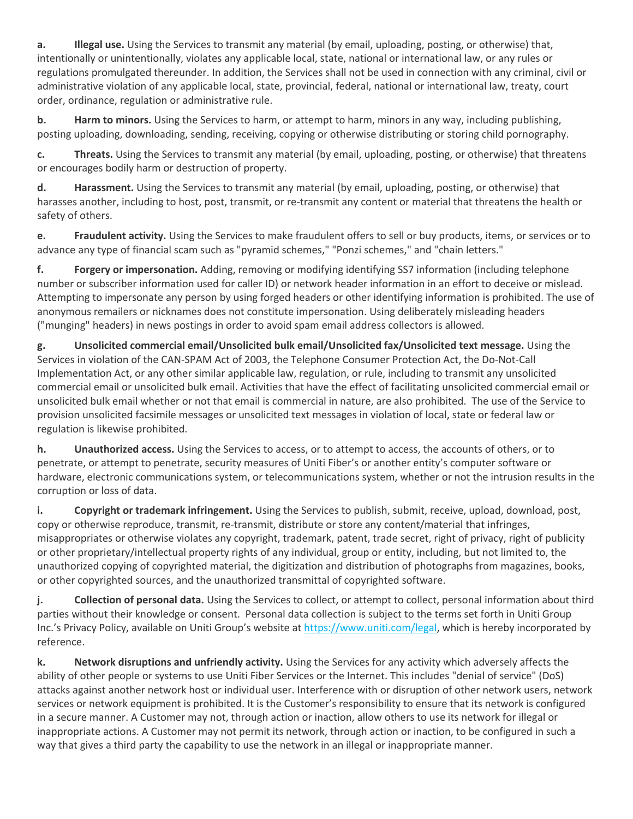**a. Illegal use.** Using the Services to transmit any material (by email, uploading, posting, or otherwise) that, intentionally or unintentionally, violates any applicable local, state, national or international law, or any rules or regulations promulgated thereunder. In addition, the Services shall not be used in connection with any criminal, civil or administrative violation of any applicable local, state, provincial, federal, national or international law, treaty, court order, ordinance, regulation or administrative rule.

**b. Harm to minors.** Using the Services to harm, or attempt to harm, minors in any way, including publishing, posting uploading, downloading, sending, receiving, copying or otherwise distributing or storing child pornography.

**c. Threats.** Using the Services to transmit any material (by email, uploading, posting, or otherwise) that threatens or encourages bodily harm or destruction of property.

**d. Harassment.** Using the Services to transmit any material (by email, uploading, posting, or otherwise) that harasses another, including to host, post, transmit, or re-transmit any content or material that threatens the health or safety of others.

**e. Fraudulent activity.** Using the Services to make fraudulent offers to sell or buy products, items, or services or to advance any type of financial scam such as "pyramid schemes," "Ponzi schemes," and "chain letters."

**f. Forgery or impersonation.** Adding, removing or modifying identifying SS7 information (including telephone number or subscriber information used for caller ID) or network header information in an effort to deceive or mislead. Attempting to impersonate any person by using forged headers or other identifying information is prohibited. The use of anonymous remailers or nicknames does not constitute impersonation. Using deliberately misleading headers ("munging" headers) in news postings in order to avoid spam email address collectors is allowed.

**g. Unsolicited commercial email/Unsolicited bulk email/Unsolicited fax/Unsolicited text message.** Using the Services in violation of the CAN-SPAM Act of 2003, the Telephone Consumer Protection Act, the Do-Not-Call Implementation Act, or any other similar applicable law, regulation, or rule, including to transmit any unsolicited commercial email or unsolicited bulk email. Activities that have the effect of facilitating unsolicited commercial email or unsolicited bulk email whether or not that email is commercial in nature, are also prohibited. The use of the Service to provision unsolicited facsimile messages or unsolicited text messages in violation of local, state or federal law or regulation is likewise prohibited.

**h. Unauthorized access.** Using the Services to access, or to attempt to access, the accounts of others, or to penetrate, or attempt to penetrate, security measures of Uniti Fiber's or another entity's computer software or hardware, electronic communications system, or telecommunications system, whether or not the intrusion results in the corruption or loss of data.

**i. Copyright or trademark infringement.** Using the Services to publish, submit, receive, upload, download, post, copy or otherwise reproduce, transmit, re-transmit, distribute or store any content/material that infringes, misappropriates or otherwise violates any copyright, trademark, patent, trade secret, right of privacy, right of publicity or other proprietary/intellectual property rights of any individual, group or entity, including, but not limited to, the unauthorized copying of copyrighted material, the digitization and distribution of photographs from magazines, books, or other copyrighted sources, and the unauthorized transmittal of copyrighted software.

**j. Collection of personal data.** Using the Services to collect, or attempt to collect, personal information about third parties without their knowledge or consent. Personal data collection is subject to the terms set forth in Uniti Group Inc.'s Privacy Policy, available on Uniti Group's website at https://www.uniti.com/legal, which is hereby incorporated by reference.

**k. Network disruptions and unfriendly activity.** Using the Services for any activity which adversely affects the ability of other people or systems to use Uniti Fiber Services or the Internet. This includes "denial of service" (DoS) attacks against another network host or individual user. Interference with or disruption of other network users, network services or network equipment is prohibited. It is the Customer's responsibility to ensure that its network is configured in a secure manner. A Customer may not, through action or inaction, allow others to use its network for illegal or inappropriate actions. A Customer may not permit its network, through action or inaction, to be configured in such a way that gives a third party the capability to use the network in an illegal or inappropriate manner.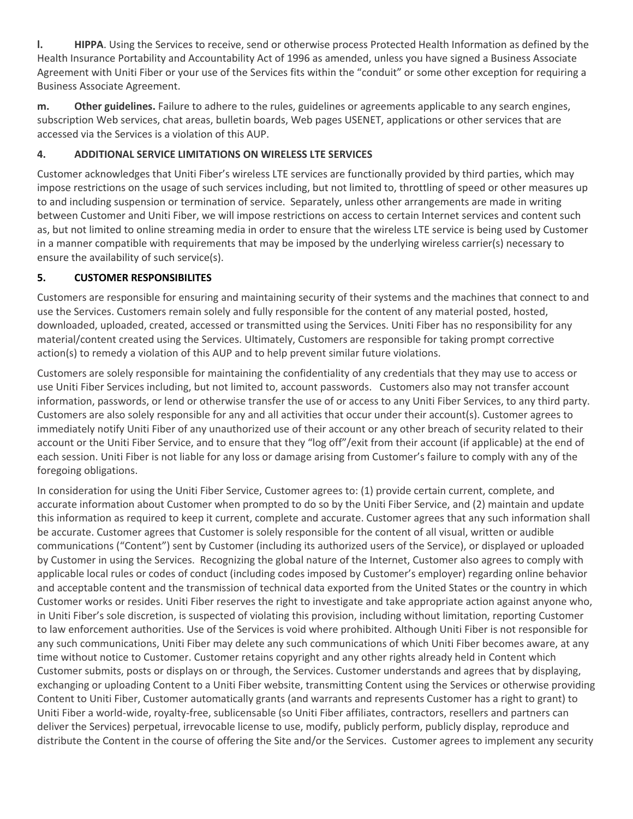**l. HIPPA**. Using the Services to receive, send or otherwise process Protected Health Information as defined by the Health Insurance Portability and Accountability Act of 1996 as amended, unless you have signed a Business Associate Agreement with Uniti Fiber or your use of the Services fits within the "conduit" or some other exception for requiring a Business Associate Agreement.

**m. Other guidelines.** Failure to adhere to the rules, guidelines or agreements applicable to any search engines, subscription Web services, chat areas, bulletin boards, Web pages USENET, applications or other services that are accessed via the Services is a violation of this AUP.

# **4. ADDITIONAL SERVICE LIMITATIONS ON WIRELESS LTE SERVICES**

Customer acknowledges that Uniti Fiber's wireless LTE services are functionally provided by third parties, which may impose restrictions on the usage of such services including, but not limited to, throttling of speed or other measures up to and including suspension or termination of service. Separately, unless other arrangements are made in writing between Customer and Uniti Fiber, we will impose restrictions on access to certain Internet services and content such as, but not limited to online streaming media in order to ensure that the wireless LTE service is being used by Customer in a manner compatible with requirements that may be imposed by the underlying wireless carrier(s) necessary to ensure the availability of such service(s).

# **5. CUSTOMER RESPONSIBILITES**

Customers are responsible for ensuring and maintaining security of their systems and the machines that connect to and use the Services. Customers remain solely and fully responsible for the content of any material posted, hosted, downloaded, uploaded, created, accessed or transmitted using the Services. Uniti Fiber has no responsibility for any material/content created using the Services. Ultimately, Customers are responsible for taking prompt corrective action(s) to remedy a violation of this AUP and to help prevent similar future violations.

Customers are solely responsible for maintaining the confidentiality of any credentials that they may use to access or use Uniti Fiber Services including, but not limited to, account passwords. Customers also may not transfer account information, passwords, or lend or otherwise transfer the use of or access to any Uniti Fiber Services, to any third party. Customers are also solely responsible for any and all activities that occur under their account(s). Customer agrees to immediately notify Uniti Fiber of any unauthorized use of their account or any other breach of security related to their account or the Uniti Fiber Service, and to ensure that they "log off"/exit from their account (if applicable) at the end of each session. Uniti Fiber is not liable for any loss or damage arising from Customer's failure to comply with any of the foregoing obligations.

In consideration for using the Uniti Fiber Service, Customer agrees to: (1) provide certain current, complete, and accurate information about Customer when prompted to do so by the Uniti Fiber Service, and (2) maintain and update this information as required to keep it current, complete and accurate. Customer agrees that any such information shall be accurate. Customer agrees that Customer is solely responsible for the content of all visual, written or audible communications ("Content") sent by Customer (including its authorized users of the Service), or displayed or uploaded by Customer in using the Services. Recognizing the global nature of the Internet, Customer also agrees to comply with applicable local rules or codes of conduct (including codes imposed by Customer's employer) regarding online behavior and acceptable content and the transmission of technical data exported from the United States or the country in which Customer works or resides. Uniti Fiber reserves the right to investigate and take appropriate action against anyone who, in Uniti Fiber's sole discretion, is suspected of violating this provision, including without limitation, reporting Customer to law enforcement authorities. Use of the Services is void where prohibited. Although Uniti Fiber is not responsible for any such communications, Uniti Fiber may delete any such communications of which Uniti Fiber becomes aware, at any time without notice to Customer. Customer retains copyright and any other rights already held in Content which Customer submits, posts or displays on or through, the Services. Customer understands and agrees that by displaying, exchanging or uploading Content to a Uniti Fiber website, transmitting Content using the Services or otherwise providing Content to Uniti Fiber, Customer automatically grants (and warrants and represents Customer has a right to grant) to Uniti Fiber a world-wide, royalty-free, sublicensable (so Uniti Fiber affiliates, contractors, resellers and partners can deliver the Services) perpetual, irrevocable license to use, modify, publicly perform, publicly display, reproduce and distribute the Content in the course of offering the Site and/or the Services. Customer agrees to implement any security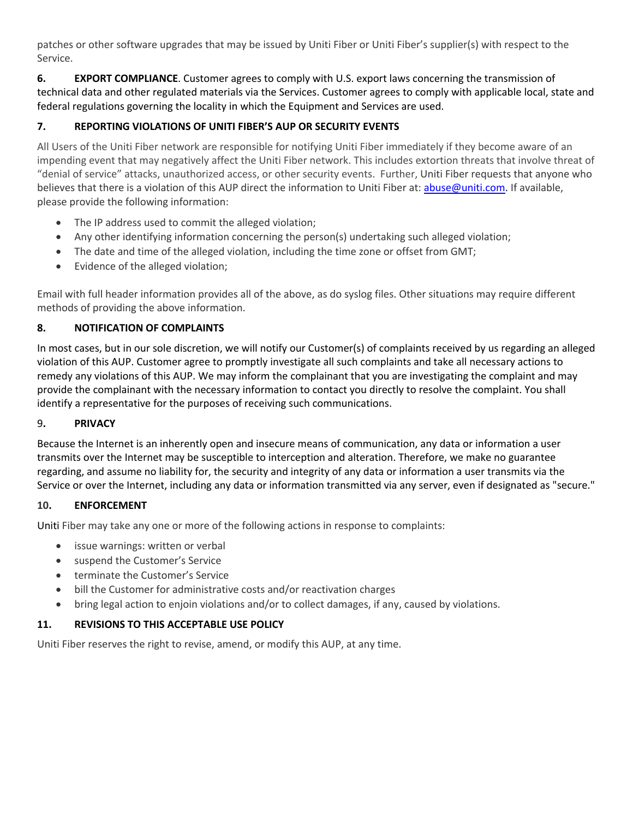patches or other software upgrades that may be issued by Uniti Fiber or Uniti Fiber's supplier(s) with respect to the Service.

**6. EXPORT COMPLIANCE**. Customer agrees to comply with U.S. export laws concerning the transmission of technical data and other regulated materials via the Services. Customer agrees to comply with applicable local, state and federal regulations governing the locality in which the Equipment and Services are used.

# **7. REPORTING VIOLATIONS OF UNITI FIBER'S AUP OR SECURITY EVENTS**

All Users of the Uniti Fiber network are responsible for notifying Uniti Fiber immediately if they become aware of an impending event that may negatively affect the Uniti Fiber network. This includes extortion threats that involve threat of "denial of service" attacks, unauthorized access, or other security events. Further, Uniti Fiber requests that anyone who believes that there is a violation of this AUP direct the information to Uniti Fiber at: abuse@uniti.com. If available, please provide the following information:

- The IP address used to commit the alleged violation;
- Any other identifying information concerning the person(s) undertaking such alleged violation;
- The date and time of the alleged violation, including the time zone or offset from GMT;
- Evidence of the alleged violation;

Email with full header information provides all of the above, as do syslog files. Other situations may require different methods of providing the above information.

### **8. NOTIFICATION OF COMPLAINTS**

In most cases, but in our sole discretion, we will notify our Customer(s) of complaints received by us regarding an alleged violation of this AUP. Customer agree to promptly investigate all such complaints and take all necessary actions to remedy any violations of this AUP. We may inform the complainant that you are investigating the complaint and may provide the complainant with the necessary information to contact you directly to resolve the complaint. You shall identify a representative for the purposes of receiving such communications.

#### 9**. PRIVACY**

Because the Internet is an inherently open and insecure means of communication, any data or information a user transmits over the Internet may be susceptible to interception and alteration. Therefore, we make no guarantee regarding, and assume no liability for, the security and integrity of any data or information a user transmits via the Service or over the Internet, including any data or information transmitted via any server, even if designated as "secure."

#### **10. ENFORCEMENT**

Uniti Fiber may take any one or more of the following actions in response to complaints:

- issue warnings: written or verbal
- suspend the Customer's Service
- terminate the Customer's Service
- bill the Customer for administrative costs and/or reactivation charges
- bring legal action to enjoin violations and/or to collect damages, if any, caused by violations.

# **11. REVISIONS TO THIS ACCEPTABLE USE POLICY**

Uniti Fiber reserves the right to revise, amend, or modify this AUP, at any time.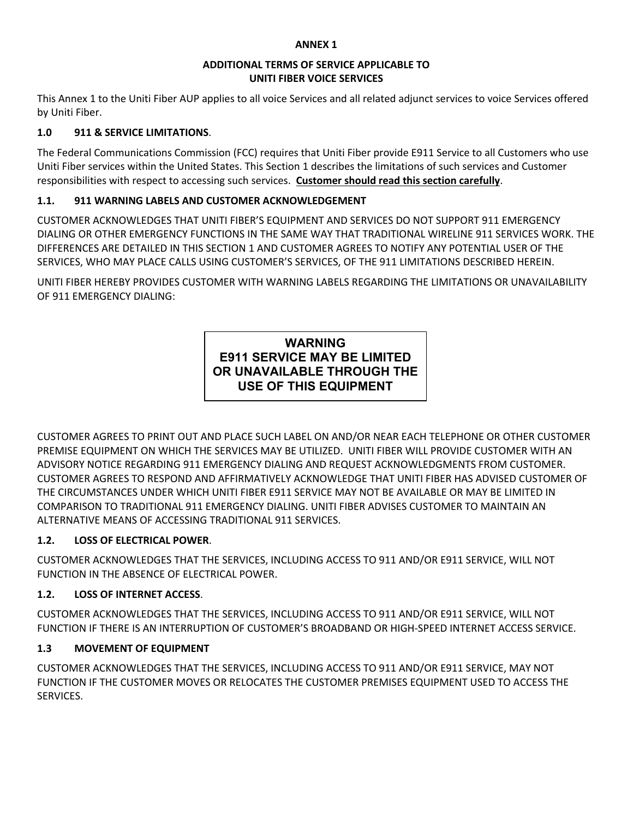#### **ANNEX 1**

#### **ADDITIONAL TERMS OF SERVICE APPLICABLE TO UNITI FIBER VOICE SERVICES**

This Annex 1 to the Uniti Fiber AUP applies to all voice Services and all related adjunct services to voice Services offered by Uniti Fiber.

# **1.0 911 & SERVICE LIMITATIONS**.

The Federal Communications Commission (FCC) requires that Uniti Fiber provide E911 Service to all Customers who use Uniti Fiber services within the United States. This Section 1 describes the limitations of such services and Customer responsibilities with respect to accessing such services. **Customer should read this section carefully**.

# **1.1. 911 WARNING LABELS AND CUSTOMER ACKNOWLEDGEMENT**

CUSTOMER ACKNOWLEDGES THAT UNITI FIBER'S EQUIPMENT AND SERVICES DO NOT SUPPORT 911 EMERGENCY DIALING OR OTHER EMERGENCY FUNCTIONS IN THE SAME WAY THAT TRADITIONAL WIRELINE 911 SERVICES WORK. THE DIFFERENCES ARE DETAILED IN THIS SECTION 1 AND CUSTOMER AGREES TO NOTIFY ANY POTENTIAL USER OF THE SERVICES, WHO MAY PLACE CALLS USING CUSTOMER'S SERVICES, OF THE 911 LIMITATIONS DESCRIBED HEREIN.

UNITI FIBER HEREBY PROVIDES CUSTOMER WITH WARNING LABELS REGARDING THE LIMITATIONS OR UNAVAILABILITY OF 911 EMERGENCY DIALING:

# **WARNING E911 SERVICE MAY BE LIMITED OR UNAVAILABLE THROUGH THE USE OF THIS EQUIPMENT**

CUSTOMER AGREES TO PRINT OUT AND PLACE SUCH LABEL ON AND/OR NEAR EACH TELEPHONE OR OTHER CUSTOMER PREMISE EQUIPMENT ON WHICH THE SERVICES MAY BE UTILIZED. UNITI FIBER WILL PROVIDE CUSTOMER WITH AN ADVISORY NOTICE REGARDING 911 EMERGENCY DIALING AND REQUEST ACKNOWLEDGMENTS FROM CUSTOMER. CUSTOMER AGREES TO RESPOND AND AFFIRMATIVELY ACKNOWLEDGE THAT UNITI FIBER HAS ADVISED CUSTOMER OF THE CIRCUMSTANCES UNDER WHICH UNITI FIBER E911 SERVICE MAY NOT BE AVAILABLE OR MAY BE LIMITED IN COMPARISON TO TRADITIONAL 911 EMERGENCY DIALING. UNITI FIBER ADVISES CUSTOMER TO MAINTAIN AN ALTERNATIVE MEANS OF ACCESSING TRADITIONAL 911 SERVICES.

# **1.2. LOSS OF ELECTRICAL POWER**.

CUSTOMER ACKNOWLEDGES THAT THE SERVICES, INCLUDING ACCESS TO 911 AND/OR E911 SERVICE, WILL NOT FUNCTION IN THE ABSENCE OF ELECTRICAL POWER.

# **1.2. LOSS OF INTERNET ACCESS**.

CUSTOMER ACKNOWLEDGES THAT THE SERVICES, INCLUDING ACCESS TO 911 AND/OR E911 SERVICE, WILL NOT FUNCTION IF THERE IS AN INTERRUPTION OF CUSTOMER'S BROADBAND OR HIGH-SPEED INTERNET ACCESS SERVICE.

# **1.3 MOVEMENT OF EQUIPMENT**

CUSTOMER ACKNOWLEDGES THAT THE SERVICES, INCLUDING ACCESS TO 911 AND/OR E911 SERVICE, MAY NOT FUNCTION IF THE CUSTOMER MOVES OR RELOCATES THE CUSTOMER PREMISES EQUIPMENT USED TO ACCESS THE SERVICES.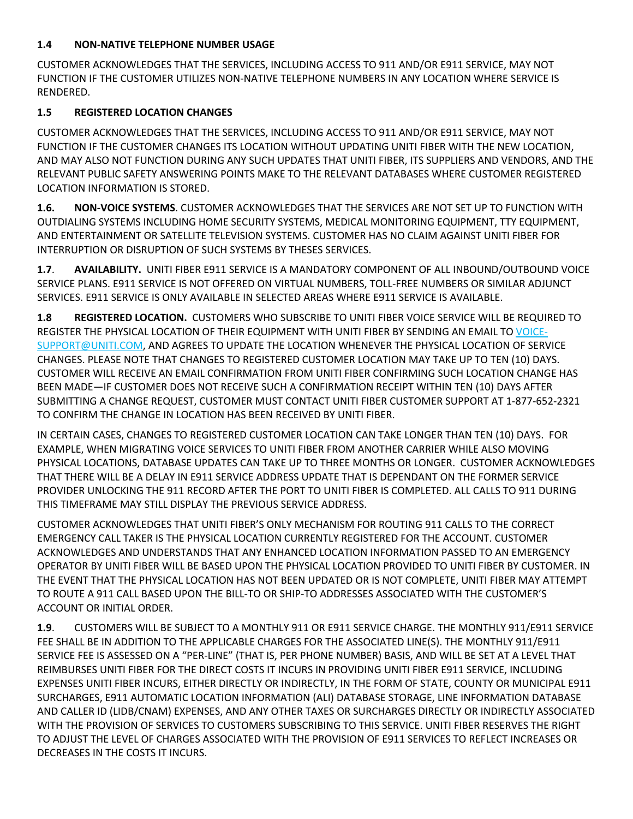# **1.4 NON-NATIVE TELEPHONE NUMBER USAGE**

CUSTOMER ACKNOWLEDGES THAT THE SERVICES, INCLUDING ACCESS TO 911 AND/OR E911 SERVICE, MAY NOT FUNCTION IF THE CUSTOMER UTILIZES NON-NATIVE TELEPHONE NUMBERS IN ANY LOCATION WHERE SERVICE IS RENDERED.

# **1.5 REGISTERED LOCATION CHANGES**

CUSTOMER ACKNOWLEDGES THAT THE SERVICES, INCLUDING ACCESS TO 911 AND/OR E911 SERVICE, MAY NOT FUNCTION IF THE CUSTOMER CHANGES ITS LOCATION WITHOUT UPDATING UNITI FIBER WITH THE NEW LOCATION, AND MAY ALSO NOT FUNCTION DURING ANY SUCH UPDATES THAT UNITI FIBER, ITS SUPPLIERS AND VENDORS, AND THE RELEVANT PUBLIC SAFETY ANSWERING POINTS MAKE TO THE RELEVANT DATABASES WHERE CUSTOMER REGISTERED LOCATION INFORMATION IS STORED.

**1.6. NON-VOICE SYSTEMS**. CUSTOMER ACKNOWLEDGES THAT THE SERVICES ARE NOT SET UP TO FUNCTION WITH OUTDIALING SYSTEMS INCLUDING HOME SECURITY SYSTEMS, MEDICAL MONITORING EQUIPMENT, TTY EQUIPMENT, AND ENTERTAINMENT OR SATELLITE TELEVISION SYSTEMS. CUSTOMER HAS NO CLAIM AGAINST UNITI FIBER FOR INTERRUPTION OR DISRUPTION OF SUCH SYSTEMS BY THESES SERVICES.

**1.7**. **AVAILABILITY.** UNITI FIBER E911 SERVICE IS A MANDATORY COMPONENT OF ALL INBOUND/OUTBOUND VOICE SERVICE PLANS. E911 SERVICE IS NOT OFFERED ON VIRTUAL NUMBERS, TOLL-FREE NUMBERS OR SIMILAR ADJUNCT SERVICES. E911 SERVICE IS ONLY AVAILABLE IN SELECTED AREAS WHERE E911 SERVICE IS AVAILABLE.

**1.8 REGISTERED LOCATION.** CUSTOMERS WHO SUBSCRIBE TO UNITI FIBER VOICE SERVICE WILL BE REQUIRED TO REGISTER THE PHYSICAL LOCATION OF THEIR EQUIPMENT WITH UNITI FIBER BY SENDING AN EMAIL TO VOICE-SUPPORT@UNITI.COM, AND AGREES TO UPDATE THE LOCATION WHENEVER THE PHYSICAL LOCATION OF SERVICE CHANGES. PLEASE NOTE THAT CHANGES TO REGISTERED CUSTOMER LOCATION MAY TAKE UP TO TEN (10) DAYS. CUSTOMER WILL RECEIVE AN EMAIL CONFIRMATION FROM UNITI FIBER CONFIRMING SUCH LOCATION CHANGE HAS BEEN MADE—IF CUSTOMER DOES NOT RECEIVE SUCH A CONFIRMATION RECEIPT WITHIN TEN (10) DAYS AFTER SUBMITTING A CHANGE REQUEST, CUSTOMER MUST CONTACT UNITI FIBER CUSTOMER SUPPORT AT 1-877-652-2321 TO CONFIRM THE CHANGE IN LOCATION HAS BEEN RECEIVED BY UNITI FIBER.

IN CERTAIN CASES, CHANGES TO REGISTERED CUSTOMER LOCATION CAN TAKE LONGER THAN TEN (10) DAYS. FOR EXAMPLE, WHEN MIGRATING VOICE SERVICES TO UNITI FIBER FROM ANOTHER CARRIER WHILE ALSO MOVING PHYSICAL LOCATIONS, DATABASE UPDATES CAN TAKE UP TO THREE MONTHS OR LONGER. CUSTOMER ACKNOWLEDGES THAT THERE WILL BE A DELAY IN E911 SERVICE ADDRESS UPDATE THAT IS DEPENDANT ON THE FORMER SERVICE PROVIDER UNLOCKING THE 911 RECORD AFTER THE PORT TO UNITI FIBER IS COMPLETED. ALL CALLS TO 911 DURING THIS TIMEFRAME MAY STILL DISPLAY THE PREVIOUS SERVICE ADDRESS.

CUSTOMER ACKNOWLEDGES THAT UNITI FIBER'S ONLY MECHANISM FOR ROUTING 911 CALLS TO THE CORRECT EMERGENCY CALL TAKER IS THE PHYSICAL LOCATION CURRENTLY REGISTERED FOR THE ACCOUNT. CUSTOMER ACKNOWLEDGES AND UNDERSTANDS THAT ANY ENHANCED LOCATION INFORMATION PASSED TO AN EMERGENCY OPERATOR BY UNITI FIBER WILL BE BASED UPON THE PHYSICAL LOCATION PROVIDED TO UNITI FIBER BY CUSTOMER. IN THE EVENT THAT THE PHYSICAL LOCATION HAS NOT BEEN UPDATED OR IS NOT COMPLETE, UNITI FIBER MAY ATTEMPT TO ROUTE A 911 CALL BASED UPON THE BILL-TO OR SHIP-TO ADDRESSES ASSOCIATED WITH THE CUSTOMER'S ACCOUNT OR INITIAL ORDER.

**1.9**. CUSTOMERS WILL BE SUBJECT TO A MONTHLY 911 OR E911 SERVICE CHARGE. THE MONTHLY 911/E911 SERVICE FEE SHALL BE IN ADDITION TO THE APPLICABLE CHARGES FOR THE ASSOCIATED LINE(S). THE MONTHLY 911/E911 SERVICE FEE IS ASSESSED ON A "PER-LINE" (THAT IS, PER PHONE NUMBER) BASIS, AND WILL BE SET AT A LEVEL THAT REIMBURSES UNITI FIBER FOR THE DIRECT COSTS IT INCURS IN PROVIDING UNITI FIBER E911 SERVICE, INCLUDING EXPENSES UNITI FIBER INCURS, EITHER DIRECTLY OR INDIRECTLY, IN THE FORM OF STATE, COUNTY OR MUNICIPAL E911 SURCHARGES, E911 AUTOMATIC LOCATION INFORMATION (ALI) DATABASE STORAGE, LINE INFORMATION DATABASE AND CALLER ID (LIDB/CNAM) EXPENSES, AND ANY OTHER TAXES OR SURCHARGES DIRECTLY OR INDIRECTLY ASSOCIATED WITH THE PROVISION OF SERVICES TO CUSTOMERS SUBSCRIBING TO THIS SERVICE. UNITI FIBER RESERVES THE RIGHT TO ADJUST THE LEVEL OF CHARGES ASSOCIATED WITH THE PROVISION OF E911 SERVICES TO REFLECT INCREASES OR DECREASES IN THE COSTS IT INCURS.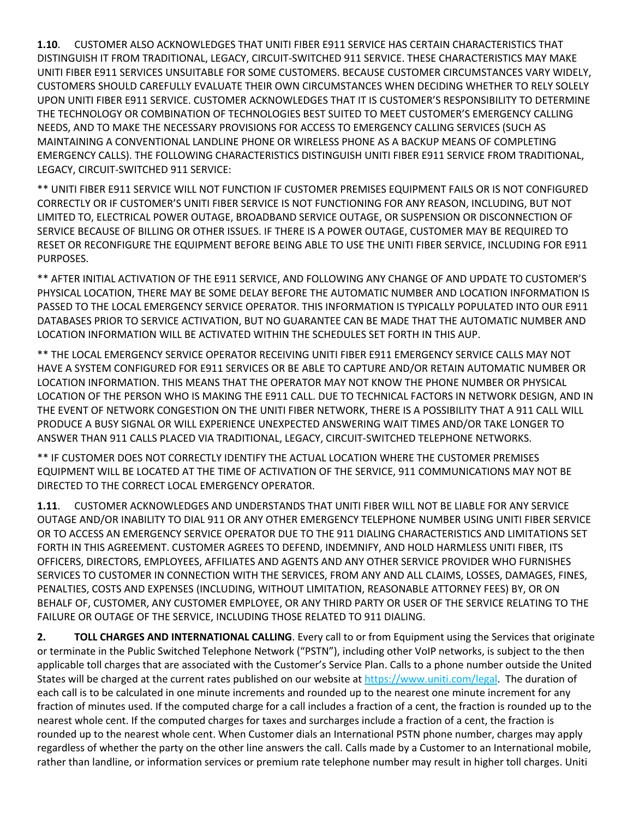**1.10**. CUSTOMER ALSO ACKNOWLEDGES THAT UNITI FIBER E911 SERVICE HAS CERTAIN CHARACTERISTICS THAT DISTINGUISH IT FROM TRADITIONAL, LEGACY, CIRCUIT-SWITCHED 911 SERVICE. THESE CHARACTERISTICS MAY MAKE UNITI FIBER E911 SERVICES UNSUITABLE FOR SOME CUSTOMERS. BECAUSE CUSTOMER CIRCUMSTANCES VARY WIDELY, CUSTOMERS SHOULD CAREFULLY EVALUATE THEIR OWN CIRCUMSTANCES WHEN DECIDING WHETHER TO RELY SOLELY UPON UNITI FIBER E911 SERVICE. CUSTOMER ACKNOWLEDGES THAT IT IS CUSTOMER'S RESPONSIBILITY TO DETERMINE THE TECHNOLOGY OR COMBINATION OF TECHNOLOGIES BEST SUITED TO MEET CUSTOMER'S EMERGENCY CALLING NEEDS, AND TO MAKE THE NECESSARY PROVISIONS FOR ACCESS TO EMERGENCY CALLING SERVICES (SUCH AS MAINTAINING A CONVENTIONAL LANDLINE PHONE OR WIRELESS PHONE AS A BACKUP MEANS OF COMPLETING EMERGENCY CALLS). THE FOLLOWING CHARACTERISTICS DISTINGUISH UNITI FIBER E911 SERVICE FROM TRADITIONAL, LEGACY, CIRCUIT-SWITCHED 911 SERVICE:

\*\* UNITI FIBER E911 SERVICE WILL NOT FUNCTION IF CUSTOMER PREMISES EQUIPMENT FAILS OR IS NOT CONFIGURED CORRECTLY OR IF CUSTOMER'S UNITI FIBER SERVICE IS NOT FUNCTIONING FOR ANY REASON, INCLUDING, BUT NOT LIMITED TO, ELECTRICAL POWER OUTAGE, BROADBAND SERVICE OUTAGE, OR SUSPENSION OR DISCONNECTION OF SERVICE BECAUSE OF BILLING OR OTHER ISSUES. IF THERE IS A POWER OUTAGE, CUSTOMER MAY BE REQUIRED TO RESET OR RECONFIGURE THE EQUIPMENT BEFORE BEING ABLE TO USE THE UNITI FIBER SERVICE, INCLUDING FOR E911 PURPOSES.

\*\* AFTER INITIAL ACTIVATION OF THE E911 SERVICE, AND FOLLOWING ANY CHANGE OF AND UPDATE TO CUSTOMER'S PHYSICAL LOCATION, THERE MAY BE SOME DELAY BEFORE THE AUTOMATIC NUMBER AND LOCATION INFORMATION IS PASSED TO THE LOCAL EMERGENCY SERVICE OPERATOR. THIS INFORMATION IS TYPICALLY POPULATED INTO OUR E911 DATABASES PRIOR TO SERVICE ACTIVATION, BUT NO GUARANTEE CAN BE MADE THAT THE AUTOMATIC NUMBER AND LOCATION INFORMATION WILL BE ACTIVATED WITHIN THE SCHEDULES SET FORTH IN THIS AUP.

\*\* THE LOCAL EMERGENCY SERVICE OPERATOR RECEIVING UNITI FIBER E911 EMERGENCY SERVICE CALLS MAY NOT HAVE A SYSTEM CONFIGURED FOR E911 SERVICES OR BE ABLE TO CAPTURE AND/OR RETAIN AUTOMATIC NUMBER OR LOCATION INFORMATION. THIS MEANS THAT THE OPERATOR MAY NOT KNOW THE PHONE NUMBER OR PHYSICAL LOCATION OF THE PERSON WHO IS MAKING THE E911 CALL. DUE TO TECHNICAL FACTORS IN NETWORK DESIGN, AND IN THE EVENT OF NETWORK CONGESTION ON THE UNITI FIBER NETWORK, THERE IS A POSSIBILITY THAT A 911 CALL WILL PRODUCE A BUSY SIGNAL OR WILL EXPERIENCE UNEXPECTED ANSWERING WAIT TIMES AND/OR TAKE LONGER TO ANSWER THAN 911 CALLS PLACED VIA TRADITIONAL, LEGACY, CIRCUIT-SWITCHED TELEPHONE NETWORKS.

\*\* IF CUSTOMER DOES NOT CORRECTLY IDENTIFY THE ACTUAL LOCATION WHERE THE CUSTOMER PREMISES EQUIPMENT WILL BE LOCATED AT THE TIME OF ACTIVATION OF THE SERVICE, 911 COMMUNICATIONS MAY NOT BE DIRECTED TO THE CORRECT LOCAL EMERGENCY OPERATOR.

**1.11**. CUSTOMER ACKNOWLEDGES AND UNDERSTANDS THAT UNITI FIBER WILL NOT BE LIABLE FOR ANY SERVICE OUTAGE AND/OR INABILITY TO DIAL 911 OR ANY OTHER EMERGENCY TELEPHONE NUMBER USING UNITI FIBER SERVICE OR TO ACCESS AN EMERGENCY SERVICE OPERATOR DUE TO THE 911 DIALING CHARACTERISTICS AND LIMITATIONS SET FORTH IN THIS AGREEMENT. CUSTOMER AGREES TO DEFEND, INDEMNIFY, AND HOLD HARMLESS UNITI FIBER, ITS OFFICERS, DIRECTORS, EMPLOYEES, AFFILIATES AND AGENTS AND ANY OTHER SERVICE PROVIDER WHO FURNISHES SERVICES TO CUSTOMER IN CONNECTION WITH THE SERVICES, FROM ANY AND ALL CLAIMS, LOSSES, DAMAGES, FINES, PENALTIES, COSTS AND EXPENSES (INCLUDING, WITHOUT LIMITATION, REASONABLE ATTORNEY FEES) BY, OR ON BEHALF OF, CUSTOMER, ANY CUSTOMER EMPLOYEE, OR ANY THIRD PARTY OR USER OF THE SERVICE RELATING TO THE FAILURE OR OUTAGE OF THE SERVICE, INCLUDING THOSE RELATED TO 911 DIALING.

**2. TOLL CHARGES AND INTERNATIONAL CALLING**. Every call to or from Equipment using the Services that originate or terminate in the Public Switched Telephone Network ("PSTN"), including other VoIP networks, is subject to the then applicable toll charges that are associated with the Customer's Service Plan. Calls to a phone number outside the United States will be charged at the current rates published on our website at https://www.uniti.com/legal. The duration of each call is to be calculated in one minute increments and rounded up to the nearest one minute increment for any fraction of minutes used. If the computed charge for a call includes a fraction of a cent, the fraction is rounded up to the nearest whole cent. If the computed charges for taxes and surcharges include a fraction of a cent, the fraction is rounded up to the nearest whole cent. When Customer dials an International PSTN phone number, charges may apply regardless of whether the party on the other line answers the call. Calls made by a Customer to an International mobile, rather than landline, or information services or premium rate telephone number may result in higher toll charges. Uniti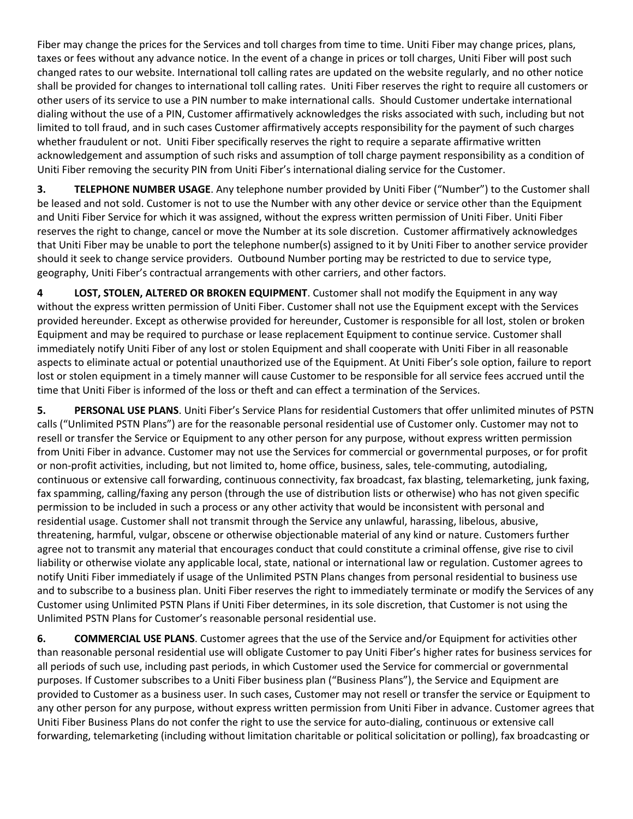Fiber may change the prices for the Services and toll charges from time to time. Uniti Fiber may change prices, plans, taxes or fees without any advance notice. In the event of a change in prices or toll charges, Uniti Fiber will post such changed rates to our website. International toll calling rates are updated on the website regularly, and no other notice shall be provided for changes to international toll calling rates. Uniti Fiber reserves the right to require all customers or other users of its service to use a PIN number to make international calls. Should Customer undertake international dialing without the use of a PIN, Customer affirmatively acknowledges the risks associated with such, including but not limited to toll fraud, and in such cases Customer affirmatively accepts responsibility for the payment of such charges whether fraudulent or not. Uniti Fiber specifically reserves the right to require a separate affirmative written acknowledgement and assumption of such risks and assumption of toll charge payment responsibility as a condition of Uniti Fiber removing the security PIN from Uniti Fiber's international dialing service for the Customer.

**3. TELEPHONE NUMBER USAGE**. Any telephone number provided by Uniti Fiber ("Number") to the Customer shall be leased and not sold. Customer is not to use the Number with any other device or service other than the Equipment and Uniti Fiber Service for which it was assigned, without the express written permission of Uniti Fiber. Uniti Fiber reserves the right to change, cancel or move the Number at its sole discretion. Customer affirmatively acknowledges that Uniti Fiber may be unable to port the telephone number(s) assigned to it by Uniti Fiber to another service provider should it seek to change service providers. Outbound Number porting may be restricted to due to service type, geography, Uniti Fiber's contractual arrangements with other carriers, and other factors.

**4 LOST, STOLEN, ALTERED OR BROKEN EQUIPMENT**. Customer shall not modify the Equipment in any way without the express written permission of Uniti Fiber. Customer shall not use the Equipment except with the Services provided hereunder. Except as otherwise provided for hereunder, Customer is responsible for all lost, stolen or broken Equipment and may be required to purchase or lease replacement Equipment to continue service. Customer shall immediately notify Uniti Fiber of any lost or stolen Equipment and shall cooperate with Uniti Fiber in all reasonable aspects to eliminate actual or potential unauthorized use of the Equipment. At Uniti Fiber's sole option, failure to report lost or stolen equipment in a timely manner will cause Customer to be responsible for all service fees accrued until the time that Uniti Fiber is informed of the loss or theft and can effect a termination of the Services.

**5. PERSONAL USE PLANS**. Uniti Fiber's Service Plans for residential Customers that offer unlimited minutes of PSTN calls ("Unlimited PSTN Plans") are for the reasonable personal residential use of Customer only. Customer may not to resell or transfer the Service or Equipment to any other person for any purpose, without express written permission from Uniti Fiber in advance. Customer may not use the Services for commercial or governmental purposes, or for profit or non-profit activities, including, but not limited to, home office, business, sales, tele-commuting, autodialing, continuous or extensive call forwarding, continuous connectivity, fax broadcast, fax blasting, telemarketing, junk faxing, fax spamming, calling/faxing any person (through the use of distribution lists or otherwise) who has not given specific permission to be included in such a process or any other activity that would be inconsistent with personal and residential usage. Customer shall not transmit through the Service any unlawful, harassing, libelous, abusive, threatening, harmful, vulgar, obscene or otherwise objectionable material of any kind or nature. Customers further agree not to transmit any material that encourages conduct that could constitute a criminal offense, give rise to civil liability or otherwise violate any applicable local, state, national or international law or regulation. Customer agrees to notify Uniti Fiber immediately if usage of the Unlimited PSTN Plans changes from personal residential to business use and to subscribe to a business plan. Uniti Fiber reserves the right to immediately terminate or modify the Services of any Customer using Unlimited PSTN Plans if Uniti Fiber determines, in its sole discretion, that Customer is not using the Unlimited PSTN Plans for Customer's reasonable personal residential use.

**6. COMMERCIAL USE PLANS**. Customer agrees that the use of the Service and/or Equipment for activities other than reasonable personal residential use will obligate Customer to pay Uniti Fiber's higher rates for business services for all periods of such use, including past periods, in which Customer used the Service for commercial or governmental purposes. If Customer subscribes to a Uniti Fiber business plan ("Business Plans"), the Service and Equipment are provided to Customer as a business user. In such cases, Customer may not resell or transfer the service or Equipment to any other person for any purpose, without express written permission from Uniti Fiber in advance. Customer agrees that Uniti Fiber Business Plans do not confer the right to use the service for auto-dialing, continuous or extensive call forwarding, telemarketing (including without limitation charitable or political solicitation or polling), fax broadcasting or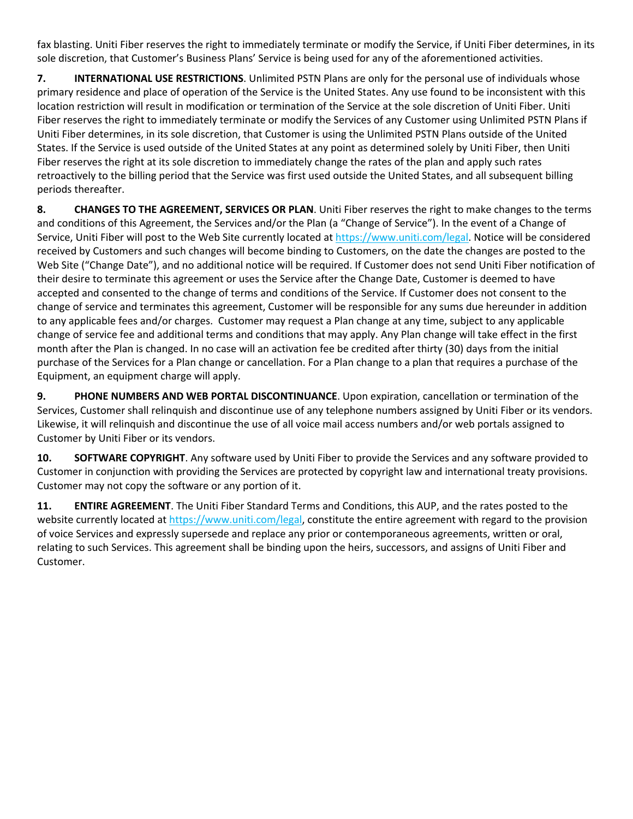fax blasting. Uniti Fiber reserves the right to immediately terminate or modify the Service, if Uniti Fiber determines, in its sole discretion, that Customer's Business Plans' Service is being used for any of the aforementioned activities.

**7. INTERNATIONAL USE RESTRICTIONS**. Unlimited PSTN Plans are only for the personal use of individuals whose primary residence and place of operation of the Service is the United States. Any use found to be inconsistent with this location restriction will result in modification or termination of the Service at the sole discretion of Uniti Fiber. Uniti Fiber reserves the right to immediately terminate or modify the Services of any Customer using Unlimited PSTN Plans if Uniti Fiber determines, in its sole discretion, that Customer is using the Unlimited PSTN Plans outside of the United States. If the Service is used outside of the United States at any point as determined solely by Uniti Fiber, then Uniti Fiber reserves the right at its sole discretion to immediately change the rates of the plan and apply such rates retroactively to the billing period that the Service was first used outside the United States, and all subsequent billing periods thereafter.

**8. CHANGES TO THE AGREEMENT, SERVICES OR PLAN**. Uniti Fiber reserves the right to make changes to the terms and conditions of this Agreement, the Services and/or the Plan (a "Change of Service"). In the event of a Change of Service, Uniti Fiber will post to the Web Site currently located at https://www.uniti.com/legal. Notice will be considered received by Customers and such changes will become binding to Customers, on the date the changes are posted to the Web Site ("Change Date"), and no additional notice will be required. If Customer does not send Uniti Fiber notification of their desire to terminate this agreement or uses the Service after the Change Date, Customer is deemed to have accepted and consented to the change of terms and conditions of the Service. If Customer does not consent to the change of service and terminates this agreement, Customer will be responsible for any sums due hereunder in addition to any applicable fees and/or charges. Customer may request a Plan change at any time, subject to any applicable change of service fee and additional terms and conditions that may apply. Any Plan change will take effect in the first month after the Plan is changed. In no case will an activation fee be credited after thirty (30) days from the initial purchase of the Services for a Plan change or cancellation. For a Plan change to a plan that requires a purchase of the Equipment, an equipment charge will apply.

**9. PHONE NUMBERS AND WEB PORTAL DISCONTINUANCE**. Upon expiration, cancellation or termination of the Services, Customer shall relinquish and discontinue use of any telephone numbers assigned by Uniti Fiber or its vendors. Likewise, it will relinquish and discontinue the use of all voice mail access numbers and/or web portals assigned to Customer by Uniti Fiber or its vendors.

**10. SOFTWARE COPYRIGHT**. Any software used by Uniti Fiber to provide the Services and any software provided to Customer in conjunction with providing the Services are protected by copyright law and international treaty provisions. Customer may not copy the software or any portion of it.

**11. ENTIRE AGREEMENT**. The Uniti Fiber Standard Terms and Conditions, this AUP, and the rates posted to the website currently located at https://www.uniti.com/legal, constitute the entire agreement with regard to the provision of voice Services and expressly supersede and replace any prior or contemporaneous agreements, written or oral, relating to such Services. This agreement shall be binding upon the heirs, successors, and assigns of Uniti Fiber and Customer.